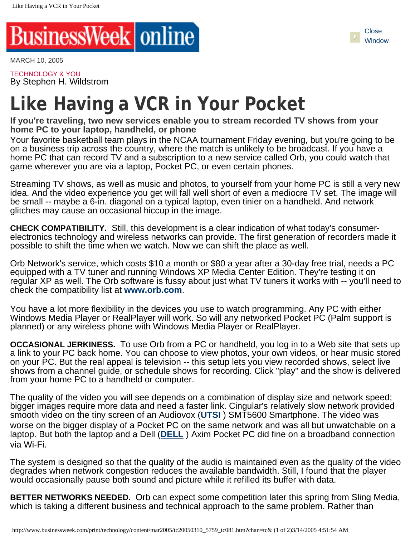

MARCH 10, 2005

TECHNOLOGY & YOU By Stephen H. Wildstrom

## **Like Having a VCR in Your Pocket**

**If you're traveling, two new services enable you to stream recorded TV shows from your home PC to your laptop, handheld, or phone**

Your favorite basketball team plays in the NCAA tournament Friday evening, but you're going to be on a business trip across the country, where the match is unlikely to be broadcast. If you have a home PC that can record TV and a subscription to a new service called Orb, you could watch that game wherever you are via a laptop, Pocket PC, or even certain phones.

Streaming TV shows, as well as music and photos, to yourself from your home PC is still a very new idea. And the video experience you get will fall well short of even a mediocre TV set. The image will be small -- maybe a 6-in. diagonal on a typical laptop, even tinier on a handheld. And network glitches may cause an occasional hiccup in the image.

**CHECK COMPATIBILITY.** Still, this development is a clear indication of what today's consumerelectronics technology and wireless networks can provide. The first generation of recorders made it possible to shift the time when we watch. Now we can shift the place as well.

Orb Network's service, which costs \$10 a month or \$80 a year after a 30-day free trial, needs a PC equipped with a TV tuner and running Windows XP Media Center Edition. They're testing it on regular XP as well. The Orb software is fussy about just what TV tuners it works with -- you'll need to check the compatibility list at **[www.orb.com](http://www.orb.com/)**.

You have a lot more flexibility in the devices you use to watch programming. Any PC with either Windows Media Player or RealPlayer will work. So will any networked Pocket PC (Palm support is planned) or any wireless phone with Windows Media Player or RealPlayer.

**OCCASIONAL JERKINESS.** To use Orb from a PC or handheld, you log in to a Web site that sets up a link to your PC back home. You can choose to view photos, your own videos, or hear music stored on your PC. But the real appeal is television -- this setup lets you view recorded shows, select live shows from a channel guide, or schedule shows for recording. Click "play" and the show is delivered from your home PC to a handheld or computer.

The quality of the video you will see depends on a combination of display size and network speed; bigger images require more data and need a faster link. Cingular's relatively slow network provided smooth video on the tiny screen of an Audiovox (**[UTSI](javascript: void showTicker()** ) SMT5600 Smartphone. The video was worse on the bigger display of a Pocket PC on the same network and was all but unwatchable on a laptop. But both the laptop and a Dell (**[DELL](javascript: void showTicker()** ) Axim Pocket PC did fine on a broadband connection via Wi-Fi.

The system is designed so that the quality of the audio is maintained even as the quality of the video degrades when network congestion reduces the available bandwidth. Still, I found that the player would occasionally pause both sound and picture while it refilled its buffer with data.

**BETTER NETWORKS NEEDED.** Orb can expect some competition later this spring from Sling Media, which is taking a different business and technical approach to the same problem. Rather than